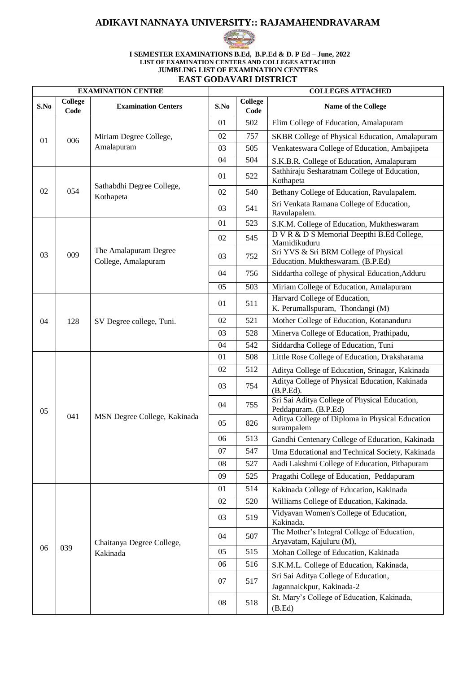## **ADIKAVI NANNAYA UNIVERSITY:: RAJAMAHENDRAVARAM**



#### **I SEMESTER EXAMINATIONS B.Ed, B.P.Ed & D. P Ed – June, 2022 LIST OF EXAMINATION CENTERS AND COLLEGES ATTACHED JUMBLING LIST OF EXAMINATION CENTERS EAST GODAVARI DISTRICT**

| <b>College</b><br>S.No<br>S.No<br><b>Examination Centers</b><br>Name of the College<br>Code<br>Code<br>01<br>502<br>Elim College of Education, Amalapuram<br>757<br>02<br>Miriam Degree College,<br><b>SKBR College of Physical Education, Amalapuram</b><br>006<br>01<br>Amalapuram<br>Venkateswara College of Education, Ambajipeta<br>03<br>505<br>504<br>04<br>S.K.B.R. College of Education, Amalapuram<br>Sathhiraju Sesharatnam College of Education,<br>01<br>522<br>Kothapeta<br>Sathabdhi Degree College,<br>054<br>02<br>Bethany College of Education, Ravulapalem.<br>02<br>540<br>Kothapeta<br>Sri Venkata Ramana College of Education,<br>03<br>541<br>Ravulapalem.<br>523<br>01<br>S.K.M. College of Education, Muktheswaram<br>D V R & D S Memorial Deepthi B.Ed College,<br>02<br>545<br>Mamidikuduru<br>The Amalapuram Degree<br>Sri YVS & Sri BRM College of Physical<br>009<br>03<br>03<br>752<br>College, Amalapuram<br>Education. Muktheswaram. (B.P.Ed)<br>04<br>756<br>Siddartha college of physical Education, Adduru<br>503<br>05<br>Miriam College of Education, Amalapuram<br>Harvard College of Education,<br>511<br>01<br>K. Perumallspuram, Thondangi (M)<br>Mother College of Education, Kotananduru<br>02<br>521<br>128<br>04<br>SV Degree college, Tuni.<br>528<br>Minerva College of Education, Prathipadu,<br>03<br>542<br>Siddardha College of Education, Tuni<br>04<br>Little Rose College of Education, Draksharama<br>508<br>01<br>02<br>512<br>Aditya College of Education, Srinagar, Kakinada<br>Aditya College of Physical Education, Kakinada<br>03<br>754<br>(B.P.Ed).<br>Sri Sai Aditya College of Physical Education,<br>04<br>755<br>Peddapuram. (B.P.Ed)<br>05<br>041<br>MSN Degree College, Kakinada<br>Aditya College of Diploma in Physical Education<br>05<br>826<br>surampalem<br>513<br>06<br>Gandhi Centenary College of Education, Kakinada<br>07<br>547<br>Uma Educational and Technical Society, Kakinada<br>Aadi Lakshmi College of Education, Pithapuram<br>527<br>08<br>525<br>Pragathi College of Education, Peddapuram<br>09<br>514<br>01<br>Kakinada College of Education, Kakinada<br>Williams College of Education, Kakinada.<br>520<br>02<br>Vidyavan Women's College of Education,<br>519<br>03<br>Kakinada.<br>The Mother's Integral College of Education,<br>507<br>04<br>Aryavatam, Kajuluru (M),<br>Chaitanya Degree College,<br>039<br>06<br>515<br>05<br>Mohan College of Education, Kakinada<br>Kakinada<br>06<br>516<br>S.K.M.L. College of Education, Kakinada,<br>Sri Sai Aditya College of Education,<br>07<br>517<br>Jagannaickpur, Kakinada-2<br>St. Mary's College of Education, Kakinada,<br>518<br>08<br>(B.Ed) |  | <b>EXAMINATION CENTRE</b> |  |  | <b>COLLEGES ATTACHED</b> |  |  |
|------------------------------------------------------------------------------------------------------------------------------------------------------------------------------------------------------------------------------------------------------------------------------------------------------------------------------------------------------------------------------------------------------------------------------------------------------------------------------------------------------------------------------------------------------------------------------------------------------------------------------------------------------------------------------------------------------------------------------------------------------------------------------------------------------------------------------------------------------------------------------------------------------------------------------------------------------------------------------------------------------------------------------------------------------------------------------------------------------------------------------------------------------------------------------------------------------------------------------------------------------------------------------------------------------------------------------------------------------------------------------------------------------------------------------------------------------------------------------------------------------------------------------------------------------------------------------------------------------------------------------------------------------------------------------------------------------------------------------------------------------------------------------------------------------------------------------------------------------------------------------------------------------------------------------------------------------------------------------------------------------------------------------------------------------------------------------------------------------------------------------------------------------------------------------------------------------------------------------------------------------------------------------------------------------------------------------------------------------------------------------------------------------------------------------------------------------------------------------------------------------------------------------------------------------------------------------------------------------------------------------------------------------------------------------------------------------|--|---------------------------|--|--|--------------------------|--|--|
|                                                                                                                                                                                                                                                                                                                                                                                                                                                                                                                                                                                                                                                                                                                                                                                                                                                                                                                                                                                                                                                                                                                                                                                                                                                                                                                                                                                                                                                                                                                                                                                                                                                                                                                                                                                                                                                                                                                                                                                                                                                                                                                                                                                                                                                                                                                                                                                                                                                                                                                                                                                                                                                                                                      |  | College                   |  |  |                          |  |  |
|                                                                                                                                                                                                                                                                                                                                                                                                                                                                                                                                                                                                                                                                                                                                                                                                                                                                                                                                                                                                                                                                                                                                                                                                                                                                                                                                                                                                                                                                                                                                                                                                                                                                                                                                                                                                                                                                                                                                                                                                                                                                                                                                                                                                                                                                                                                                                                                                                                                                                                                                                                                                                                                                                                      |  |                           |  |  |                          |  |  |
|                                                                                                                                                                                                                                                                                                                                                                                                                                                                                                                                                                                                                                                                                                                                                                                                                                                                                                                                                                                                                                                                                                                                                                                                                                                                                                                                                                                                                                                                                                                                                                                                                                                                                                                                                                                                                                                                                                                                                                                                                                                                                                                                                                                                                                                                                                                                                                                                                                                                                                                                                                                                                                                                                                      |  |                           |  |  |                          |  |  |
|                                                                                                                                                                                                                                                                                                                                                                                                                                                                                                                                                                                                                                                                                                                                                                                                                                                                                                                                                                                                                                                                                                                                                                                                                                                                                                                                                                                                                                                                                                                                                                                                                                                                                                                                                                                                                                                                                                                                                                                                                                                                                                                                                                                                                                                                                                                                                                                                                                                                                                                                                                                                                                                                                                      |  |                           |  |  |                          |  |  |
|                                                                                                                                                                                                                                                                                                                                                                                                                                                                                                                                                                                                                                                                                                                                                                                                                                                                                                                                                                                                                                                                                                                                                                                                                                                                                                                                                                                                                                                                                                                                                                                                                                                                                                                                                                                                                                                                                                                                                                                                                                                                                                                                                                                                                                                                                                                                                                                                                                                                                                                                                                                                                                                                                                      |  |                           |  |  |                          |  |  |
|                                                                                                                                                                                                                                                                                                                                                                                                                                                                                                                                                                                                                                                                                                                                                                                                                                                                                                                                                                                                                                                                                                                                                                                                                                                                                                                                                                                                                                                                                                                                                                                                                                                                                                                                                                                                                                                                                                                                                                                                                                                                                                                                                                                                                                                                                                                                                                                                                                                                                                                                                                                                                                                                                                      |  |                           |  |  |                          |  |  |
|                                                                                                                                                                                                                                                                                                                                                                                                                                                                                                                                                                                                                                                                                                                                                                                                                                                                                                                                                                                                                                                                                                                                                                                                                                                                                                                                                                                                                                                                                                                                                                                                                                                                                                                                                                                                                                                                                                                                                                                                                                                                                                                                                                                                                                                                                                                                                                                                                                                                                                                                                                                                                                                                                                      |  |                           |  |  |                          |  |  |
|                                                                                                                                                                                                                                                                                                                                                                                                                                                                                                                                                                                                                                                                                                                                                                                                                                                                                                                                                                                                                                                                                                                                                                                                                                                                                                                                                                                                                                                                                                                                                                                                                                                                                                                                                                                                                                                                                                                                                                                                                                                                                                                                                                                                                                                                                                                                                                                                                                                                                                                                                                                                                                                                                                      |  |                           |  |  |                          |  |  |
|                                                                                                                                                                                                                                                                                                                                                                                                                                                                                                                                                                                                                                                                                                                                                                                                                                                                                                                                                                                                                                                                                                                                                                                                                                                                                                                                                                                                                                                                                                                                                                                                                                                                                                                                                                                                                                                                                                                                                                                                                                                                                                                                                                                                                                                                                                                                                                                                                                                                                                                                                                                                                                                                                                      |  |                           |  |  |                          |  |  |
|                                                                                                                                                                                                                                                                                                                                                                                                                                                                                                                                                                                                                                                                                                                                                                                                                                                                                                                                                                                                                                                                                                                                                                                                                                                                                                                                                                                                                                                                                                                                                                                                                                                                                                                                                                                                                                                                                                                                                                                                                                                                                                                                                                                                                                                                                                                                                                                                                                                                                                                                                                                                                                                                                                      |  |                           |  |  |                          |  |  |
|                                                                                                                                                                                                                                                                                                                                                                                                                                                                                                                                                                                                                                                                                                                                                                                                                                                                                                                                                                                                                                                                                                                                                                                                                                                                                                                                                                                                                                                                                                                                                                                                                                                                                                                                                                                                                                                                                                                                                                                                                                                                                                                                                                                                                                                                                                                                                                                                                                                                                                                                                                                                                                                                                                      |  |                           |  |  |                          |  |  |
|                                                                                                                                                                                                                                                                                                                                                                                                                                                                                                                                                                                                                                                                                                                                                                                                                                                                                                                                                                                                                                                                                                                                                                                                                                                                                                                                                                                                                                                                                                                                                                                                                                                                                                                                                                                                                                                                                                                                                                                                                                                                                                                                                                                                                                                                                                                                                                                                                                                                                                                                                                                                                                                                                                      |  |                           |  |  |                          |  |  |
|                                                                                                                                                                                                                                                                                                                                                                                                                                                                                                                                                                                                                                                                                                                                                                                                                                                                                                                                                                                                                                                                                                                                                                                                                                                                                                                                                                                                                                                                                                                                                                                                                                                                                                                                                                                                                                                                                                                                                                                                                                                                                                                                                                                                                                                                                                                                                                                                                                                                                                                                                                                                                                                                                                      |  |                           |  |  |                          |  |  |
|                                                                                                                                                                                                                                                                                                                                                                                                                                                                                                                                                                                                                                                                                                                                                                                                                                                                                                                                                                                                                                                                                                                                                                                                                                                                                                                                                                                                                                                                                                                                                                                                                                                                                                                                                                                                                                                                                                                                                                                                                                                                                                                                                                                                                                                                                                                                                                                                                                                                                                                                                                                                                                                                                                      |  |                           |  |  |                          |  |  |
|                                                                                                                                                                                                                                                                                                                                                                                                                                                                                                                                                                                                                                                                                                                                                                                                                                                                                                                                                                                                                                                                                                                                                                                                                                                                                                                                                                                                                                                                                                                                                                                                                                                                                                                                                                                                                                                                                                                                                                                                                                                                                                                                                                                                                                                                                                                                                                                                                                                                                                                                                                                                                                                                                                      |  |                           |  |  |                          |  |  |
|                                                                                                                                                                                                                                                                                                                                                                                                                                                                                                                                                                                                                                                                                                                                                                                                                                                                                                                                                                                                                                                                                                                                                                                                                                                                                                                                                                                                                                                                                                                                                                                                                                                                                                                                                                                                                                                                                                                                                                                                                                                                                                                                                                                                                                                                                                                                                                                                                                                                                                                                                                                                                                                                                                      |  |                           |  |  |                          |  |  |
|                                                                                                                                                                                                                                                                                                                                                                                                                                                                                                                                                                                                                                                                                                                                                                                                                                                                                                                                                                                                                                                                                                                                                                                                                                                                                                                                                                                                                                                                                                                                                                                                                                                                                                                                                                                                                                                                                                                                                                                                                                                                                                                                                                                                                                                                                                                                                                                                                                                                                                                                                                                                                                                                                                      |  |                           |  |  |                          |  |  |
|                                                                                                                                                                                                                                                                                                                                                                                                                                                                                                                                                                                                                                                                                                                                                                                                                                                                                                                                                                                                                                                                                                                                                                                                                                                                                                                                                                                                                                                                                                                                                                                                                                                                                                                                                                                                                                                                                                                                                                                                                                                                                                                                                                                                                                                                                                                                                                                                                                                                                                                                                                                                                                                                                                      |  |                           |  |  |                          |  |  |
|                                                                                                                                                                                                                                                                                                                                                                                                                                                                                                                                                                                                                                                                                                                                                                                                                                                                                                                                                                                                                                                                                                                                                                                                                                                                                                                                                                                                                                                                                                                                                                                                                                                                                                                                                                                                                                                                                                                                                                                                                                                                                                                                                                                                                                                                                                                                                                                                                                                                                                                                                                                                                                                                                                      |  |                           |  |  |                          |  |  |
|                                                                                                                                                                                                                                                                                                                                                                                                                                                                                                                                                                                                                                                                                                                                                                                                                                                                                                                                                                                                                                                                                                                                                                                                                                                                                                                                                                                                                                                                                                                                                                                                                                                                                                                                                                                                                                                                                                                                                                                                                                                                                                                                                                                                                                                                                                                                                                                                                                                                                                                                                                                                                                                                                                      |  |                           |  |  |                          |  |  |
|                                                                                                                                                                                                                                                                                                                                                                                                                                                                                                                                                                                                                                                                                                                                                                                                                                                                                                                                                                                                                                                                                                                                                                                                                                                                                                                                                                                                                                                                                                                                                                                                                                                                                                                                                                                                                                                                                                                                                                                                                                                                                                                                                                                                                                                                                                                                                                                                                                                                                                                                                                                                                                                                                                      |  |                           |  |  |                          |  |  |
|                                                                                                                                                                                                                                                                                                                                                                                                                                                                                                                                                                                                                                                                                                                                                                                                                                                                                                                                                                                                                                                                                                                                                                                                                                                                                                                                                                                                                                                                                                                                                                                                                                                                                                                                                                                                                                                                                                                                                                                                                                                                                                                                                                                                                                                                                                                                                                                                                                                                                                                                                                                                                                                                                                      |  |                           |  |  |                          |  |  |
|                                                                                                                                                                                                                                                                                                                                                                                                                                                                                                                                                                                                                                                                                                                                                                                                                                                                                                                                                                                                                                                                                                                                                                                                                                                                                                                                                                                                                                                                                                                                                                                                                                                                                                                                                                                                                                                                                                                                                                                                                                                                                                                                                                                                                                                                                                                                                                                                                                                                                                                                                                                                                                                                                                      |  |                           |  |  |                          |  |  |
|                                                                                                                                                                                                                                                                                                                                                                                                                                                                                                                                                                                                                                                                                                                                                                                                                                                                                                                                                                                                                                                                                                                                                                                                                                                                                                                                                                                                                                                                                                                                                                                                                                                                                                                                                                                                                                                                                                                                                                                                                                                                                                                                                                                                                                                                                                                                                                                                                                                                                                                                                                                                                                                                                                      |  |                           |  |  |                          |  |  |
|                                                                                                                                                                                                                                                                                                                                                                                                                                                                                                                                                                                                                                                                                                                                                                                                                                                                                                                                                                                                                                                                                                                                                                                                                                                                                                                                                                                                                                                                                                                                                                                                                                                                                                                                                                                                                                                                                                                                                                                                                                                                                                                                                                                                                                                                                                                                                                                                                                                                                                                                                                                                                                                                                                      |  |                           |  |  |                          |  |  |
|                                                                                                                                                                                                                                                                                                                                                                                                                                                                                                                                                                                                                                                                                                                                                                                                                                                                                                                                                                                                                                                                                                                                                                                                                                                                                                                                                                                                                                                                                                                                                                                                                                                                                                                                                                                                                                                                                                                                                                                                                                                                                                                                                                                                                                                                                                                                                                                                                                                                                                                                                                                                                                                                                                      |  |                           |  |  |                          |  |  |
|                                                                                                                                                                                                                                                                                                                                                                                                                                                                                                                                                                                                                                                                                                                                                                                                                                                                                                                                                                                                                                                                                                                                                                                                                                                                                                                                                                                                                                                                                                                                                                                                                                                                                                                                                                                                                                                                                                                                                                                                                                                                                                                                                                                                                                                                                                                                                                                                                                                                                                                                                                                                                                                                                                      |  |                           |  |  |                          |  |  |
|                                                                                                                                                                                                                                                                                                                                                                                                                                                                                                                                                                                                                                                                                                                                                                                                                                                                                                                                                                                                                                                                                                                                                                                                                                                                                                                                                                                                                                                                                                                                                                                                                                                                                                                                                                                                                                                                                                                                                                                                                                                                                                                                                                                                                                                                                                                                                                                                                                                                                                                                                                                                                                                                                                      |  |                           |  |  |                          |  |  |
|                                                                                                                                                                                                                                                                                                                                                                                                                                                                                                                                                                                                                                                                                                                                                                                                                                                                                                                                                                                                                                                                                                                                                                                                                                                                                                                                                                                                                                                                                                                                                                                                                                                                                                                                                                                                                                                                                                                                                                                                                                                                                                                                                                                                                                                                                                                                                                                                                                                                                                                                                                                                                                                                                                      |  |                           |  |  |                          |  |  |
|                                                                                                                                                                                                                                                                                                                                                                                                                                                                                                                                                                                                                                                                                                                                                                                                                                                                                                                                                                                                                                                                                                                                                                                                                                                                                                                                                                                                                                                                                                                                                                                                                                                                                                                                                                                                                                                                                                                                                                                                                                                                                                                                                                                                                                                                                                                                                                                                                                                                                                                                                                                                                                                                                                      |  |                           |  |  |                          |  |  |
|                                                                                                                                                                                                                                                                                                                                                                                                                                                                                                                                                                                                                                                                                                                                                                                                                                                                                                                                                                                                                                                                                                                                                                                                                                                                                                                                                                                                                                                                                                                                                                                                                                                                                                                                                                                                                                                                                                                                                                                                                                                                                                                                                                                                                                                                                                                                                                                                                                                                                                                                                                                                                                                                                                      |  |                           |  |  |                          |  |  |
|                                                                                                                                                                                                                                                                                                                                                                                                                                                                                                                                                                                                                                                                                                                                                                                                                                                                                                                                                                                                                                                                                                                                                                                                                                                                                                                                                                                                                                                                                                                                                                                                                                                                                                                                                                                                                                                                                                                                                                                                                                                                                                                                                                                                                                                                                                                                                                                                                                                                                                                                                                                                                                                                                                      |  |                           |  |  |                          |  |  |
|                                                                                                                                                                                                                                                                                                                                                                                                                                                                                                                                                                                                                                                                                                                                                                                                                                                                                                                                                                                                                                                                                                                                                                                                                                                                                                                                                                                                                                                                                                                                                                                                                                                                                                                                                                                                                                                                                                                                                                                                                                                                                                                                                                                                                                                                                                                                                                                                                                                                                                                                                                                                                                                                                                      |  |                           |  |  |                          |  |  |
|                                                                                                                                                                                                                                                                                                                                                                                                                                                                                                                                                                                                                                                                                                                                                                                                                                                                                                                                                                                                                                                                                                                                                                                                                                                                                                                                                                                                                                                                                                                                                                                                                                                                                                                                                                                                                                                                                                                                                                                                                                                                                                                                                                                                                                                                                                                                                                                                                                                                                                                                                                                                                                                                                                      |  |                           |  |  |                          |  |  |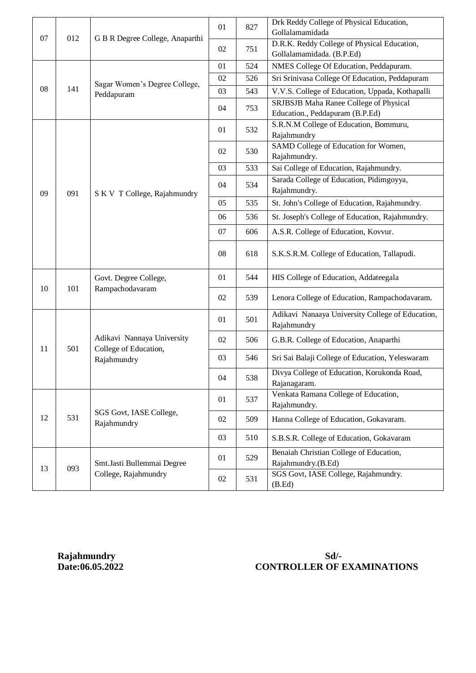|    | 012 | G B R Degree College, Anaparthi                                    | 01 | 827 | Drk Reddy College of Physical Education,<br>Gollalamamidada               |
|----|-----|--------------------------------------------------------------------|----|-----|---------------------------------------------------------------------------|
| 07 |     |                                                                    | 02 | 751 | D.R.K. Reddy College of Physical Education,                               |
|    |     |                                                                    |    |     | Gollalamamidada. (B.P.Ed)                                                 |
|    | 141 | Sagar Women's Degree College,<br>Peddapuram                        | 01 | 524 | NMES College Of Education, Peddapuram.                                    |
|    |     |                                                                    | 02 | 526 | Sri Srinivasa College Of Education, Peddapuram                            |
| 08 |     |                                                                    | 03 | 543 | V.V.S. College of Education, Uppada, Kothapalli                           |
|    |     |                                                                    | 04 | 753 | SRJBSJB Maha Ranee College of Physical<br>Education., Peddapuram (B.P.Ed) |
|    | 091 | S K V T College, Rajahmundry                                       | 01 | 532 | S.R.N.M College of Education, Bommuru,<br>Rajahmundry                     |
|    |     |                                                                    | 02 | 530 | SAMD College of Education for Women,<br>Rajahmundry.                      |
|    |     |                                                                    | 03 | 533 | Sai College of Education, Rajahmundry.                                    |
| 09 |     |                                                                    | 04 | 534 | Sarada College of Education, Pidimgoyya,<br>Rajahmundry.                  |
|    |     |                                                                    | 05 | 535 | St. John's College of Education, Rajahmundry.                             |
|    |     |                                                                    | 06 | 536 | St. Joseph's College of Education, Rajahmundry.                           |
|    |     |                                                                    | 07 | 606 | A.S.R. College of Education, Kovvur.                                      |
|    |     |                                                                    | 08 | 618 | S.K.S.R.M. College of Education, Tallapudi.                               |
|    | 101 | Govt. Degree College,<br>Rampachodavaram                           | 01 | 544 | HIS College of Education, Addateegala                                     |
| 10 |     |                                                                    | 02 | 539 | Lenora College of Education, Rampachodavaram.                             |
|    | 501 | Adikavi Nannaya University<br>College of Education,<br>Rajahmundry | 01 | 501 | Adikavi Nanaaya University College of Education,<br>Rajahmundry           |
| 11 |     |                                                                    | 02 | 506 | G.B.R. College of Education, Anaparthi                                    |
|    |     |                                                                    | 03 | 546 | Sri Sai Balaji College of Education, Yeleswaram                           |
|    |     |                                                                    | 04 | 538 | Divya College of Education, Korukonda Road,<br>Rajanagaram.               |
| 12 | 531 | SGS Govt, IASE College,<br>Rajahmundry                             | 01 | 537 | Venkata Ramana College of Education,<br>Rajahmundry.                      |
|    |     |                                                                    | 02 | 509 | Hanna College of Education, Gokavaram.                                    |
|    |     |                                                                    | 03 | 510 | S.B.S.R. College of Education, Gokavaram                                  |
| 13 | 093 | Smt.Jasti Bullemmai Degree<br>College, Rajahmundry                 | 01 | 529 | Benaiah Christian College of Education,<br>Rajahmundry.(B.Ed)             |
|    |     |                                                                    | 02 | 531 | SGS Govt, IASE College, Rajahmundry.<br>(B.Ed)                            |

# Rajahmundry **Sd/-**<br>Date:06.05.2022 **CONTROLLER OF I CONTROLLER OF EXAMINATIONS**